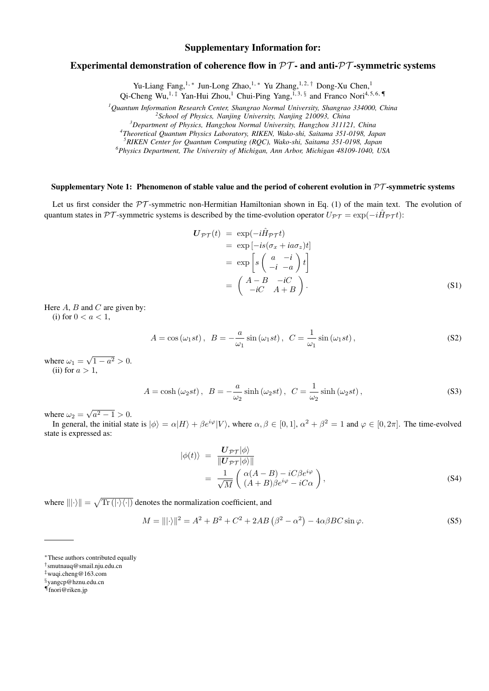## Supplementary Information for:

# Experimental demonstration of coherence flow in  $PT$ - and anti- $PT$ -symmetric systems

Yu-Liang Fang,<sup>1,∗</sup> Jun-Long Zhao,<sup>1,∗</sup> Yu Zhang,<sup>1,2,†</sup> Dong-Xu Chen,<sup>1</sup>

Qi-Cheng Wu,<sup>1,‡</sup> Yan-Hui Zhou,<sup>1</sup> Chui-Ping Yang,<sup>1,3, §</sup> and Franco Nori<sup>4,5,6,¶</sup>

*<sup>1</sup>Quantum Information Research Center, Shangrao Normal University, Shangrao 334000, China*

*2 School of Physics, Nanjing University, Nanjing 210093, China*

*<sup>3</sup>Department of Physics, Hangzhou Normal University, Hangzhou 311121, China*

*4 Theoretical Quantum Physics Laboratory, RIKEN, Wako-shi, Saitama 351-0198, Japan*

*<sup>5</sup>RIKEN Center for Quantum Computing (RQC), Wako-shi, Saitama 351-0198, Japan <sup>6</sup>Physics Department, The University of Michigan, Ann Arbor, Michigan 48109-1040, USA*

### Supplementary Note 1: Phenomenon of stable value and the period of coherent evolution in *PT* -symmetric systems

Let us first consider the  $PT$ -symmetric non-Hermitian Hamiltonian shown in Eq. (1) of the main text. The evolution of quantum states in *PT* -symmetric systems is described by the time-evolution operator  $U_{\mathcal{PT}} = \exp(-i\hat{H}_{\mathcal{PT}}t)$ :

$$
U_{\mathcal{PT}}(t) = \exp(-i\hat{H}_{\mathcal{PT}}t)
$$
  
=  $\exp[-is(\sigma_x + i a \sigma_z)t]$   
=  $\exp\left[s\begin{pmatrix} a & -i \\ -i & -a \end{pmatrix}t\right]$   
=  $\begin{pmatrix} A-B & -iC \\ -iC & A+B \end{pmatrix}$ . (S1)

Here *A*, *B* and *C* are given by:

(i) for  $0 < a < 1$ ,

$$
A = \cos(\omega_1 st), \quad B = -\frac{a}{\omega_1} \sin(\omega_1 st), \quad C = \frac{1}{\omega_1} \sin(\omega_1 st), \tag{S2}
$$

where  $\omega_1 = \sqrt{1 - a^2} > 0$ . (ii) for  $a > 1$ ,

$$
A = \cosh(\omega_2 st), \quad B = -\frac{a}{\omega_2} \sinh(\omega_2 st), \quad C = \frac{1}{\omega_2} \sinh(\omega_2 st), \tag{S3}
$$

where  $\omega_2 = \sqrt{a^2 - 1} > 0$ .

In general, the initial state is  $|\phi\rangle = \alpha|H\rangle + \beta e^{i\varphi}|V\rangle$ , where  $\alpha, \beta \in [0, 1], \alpha^2 + \beta^2 = 1$  and  $\varphi \in [0, 2\pi]$ . The time-evolved state is expressed as:

$$
\begin{aligned}\n|\phi(t)\rangle &= \frac{\mathbf{U}_{\mathcal{P}\mathcal{T}}|\phi\rangle}{\|\mathbf{U}_{\mathcal{P}\mathcal{T}}|\phi\rangle\|} \\
&= \frac{1}{\sqrt{M}} \begin{pmatrix} \alpha(A-B) - iC\beta e^{i\varphi} \\ (A+B)\beta e^{i\varphi} - iC\alpha \end{pmatrix},\n\end{aligned} \tag{S4}
$$

where  $|||\cdot\rangle|| = \sqrt{\text{Tr}(|\cdot\rangle\langle\cdot|)}$  denotes the normalization coefficient, and

$$
M = |||\cdot\rangle||^2 = A^2 + B^2 + C^2 + 2AB\left(\beta^2 - \alpha^2\right) - 4\alpha\beta BC\sin\varphi. \tag{S5}
$$

*<sup>∗</sup>*These authors contributed equally

*<sup>†</sup>* smutnauq@smail.nju.edu.cn

*<sup>‡</sup>*wuqi.cheng@163.com

*<sup>§</sup>*yangcp@hznu.edu.cn

*<sup>¶</sup>*fnori@riken.jp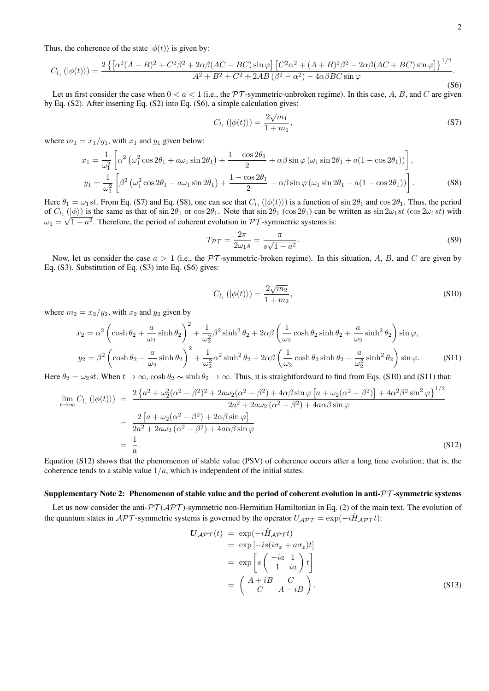Thus, the coherence of the state  $|\phi(t)\rangle$  is given by:

$$
C_{l_1}(\left|\phi(t)\right\rangle) = \frac{2\left\{ \left[ \alpha^2 (A - B)^2 + C^2 \beta^2 + 2\alpha \beta (AC - BC)\sin\varphi \right] \left[ C^2 \alpha^2 + (A + B)^2 \beta^2 - 2\alpha \beta (AC + BC)\sin\varphi \right] \right\}^{1/2}}{A^2 + B^2 + C^2 + 2AB\left( \beta^2 - \alpha^2 \right) - 4\alpha \beta BC \sin\varphi}.
$$
\n(S6)

Let us first consider the case when  $0 < a < 1$  (i.e., the  $PT$ -symmetric-unbroken regime). In this case, A, B, and C are given by Eq. (S2). After inserting Eq. (S2) into Eq. (S6), a simple calculation gives:

$$
C_{l_1}(|\phi(t)\rangle) = \frac{2\sqrt{m_1}}{1+m_1},
$$
\n(S7)

where  $m_1 = x_1/y_1$ , with  $x_1$  and  $y_1$  given below:

$$
x_1 = \frac{1}{\omega_1^2} \left[ \alpha^2 \left( \omega_1^2 \cos 2\theta_1 + a\omega_1 \sin 2\theta_1 \right) + \frac{1 - \cos 2\theta_1}{2} + \alpha \beta \sin \varphi \left( \omega_1 \sin 2\theta_1 + a(1 - \cos 2\theta_1) \right) \right],
$$
  
\n
$$
y_1 = \frac{1}{\omega_1^2} \left[ \beta^2 \left( \omega_1^2 \cos 2\theta_1 - a\omega_1 \sin 2\theta_1 \right) + \frac{1 - \cos 2\theta_1}{2} - \alpha \beta \sin \varphi \left( \omega_1 \sin 2\theta_1 - a(1 - \cos 2\theta_1) \right) \right].
$$
 (S8)

Here  $\theta_1 = \omega_1 st$ . From Eq. (S7) and Eq. (S8), one can see that  $C_{l_1} (\ket{\phi(t)})$  is a function of sin  $2\theta_1$  and  $\cos 2\theta_1$ . Thus, the period of  $C_{l_1}(\phi)$  is the same as that of  $\sin 2\theta_1$  or  $\cos 2\theta_1$ . Note that  $\sin 2\theta_1$  ( $\cos 2\theta_1$ ) can be written as  $\sin 2\omega_1 st$  ( $\cos 2\omega_1 st$ ) with  $\omega_1 = \sqrt{1 - a^2}$ . Therefore, the period of coherent evolution in *PT*-symmetric systems is:

$$
T_{\mathcal{PT}} = \frac{2\pi}{2\omega_1 s} = \frac{\pi}{s\sqrt{1 - a^2}}.\tag{S9}
$$

Now, let us consider the case  $a > 1$  (i.e., the *PT*-symmetric-broken regime). In this situation, *A*, *B*, and *C* are given by Eq. (S3). Substitution of Eq. (S3) into Eq. (S6) gives:

$$
C_{l_1}(|\phi(t)\rangle) = \frac{2\sqrt{m_2}}{1+m_2},
$$
\n(S10)

where  $m_2 = x_2/y_2$ , with  $x_2$  and  $y_2$  given by

$$
x_2 = \alpha^2 \left( \cosh \theta_2 + \frac{a}{\omega_2} \sinh \theta_2 \right)^2 + \frac{1}{\omega_2^2} \beta^2 \sinh^2 \theta_2 + 2\alpha \beta \left( \frac{1}{\omega_2} \cosh \theta_2 \sinh \theta_2 + \frac{a}{\omega_2} \sinh^2 \theta_2 \right) \sin \varphi,
$$
  

$$
y_2 = \beta^2 \left( \cosh \theta_2 - \frac{a}{\omega_2} \sinh \theta_2 \right)^2 + \frac{1}{\omega_2^2} \alpha^2 \sinh^2 \theta_2 - 2\alpha \beta \left( \frac{1}{\omega_2} \cosh \theta_2 \sinh \theta_2 - \frac{a}{\omega_2^2} \sinh^2 \theta_2 \right) \sin \varphi.
$$
 (S11)

Here  $\theta_2 = \omega_2 st$ . When  $t \to \infty$ ,  $\cosh \theta_2 \sim \sinh \theta_2 \to \infty$ . Thus, it is straightfordward to find from Eqs. (S10) and (S11) that:

$$
\lim_{t \to \infty} C_{l_1} \left( |\phi(t) \rangle \right) = \frac{2 \left\{ a^2 + \omega_2^2 (\alpha^2 - \beta^2)^2 + 2a\omega_2 (\alpha^2 - \beta^2) + 4\alpha\beta\sin\varphi \left[ a + \omega_2 (\alpha^2 - \beta^2) \right] + 4\alpha^2 \beta^2 \sin^2\varphi \right\}^{1/2}}{2a^2 + 2a\omega_2 (\alpha^2 - \beta^2) + 4a\alpha\beta\sin\varphi}
$$
\n
$$
= \frac{2 \left[ a + \omega_2 (\alpha^2 - \beta^2) + 2\alpha\beta\sin\varphi \right]}{2a^2 + 2a\omega_2 (\alpha^2 - \beta^2) + 4a\alpha\beta\sin\varphi}
$$
\n
$$
= \frac{1}{a}.
$$
\n(S12)

Equation (S12) shows that the phenomenon of stable value (PSV) of coherence occurs after a long time evolution; that is, the coherence tends to a stable value 1*/a*, which is independent of the initial states.

#### Supplementary Note 2: Phenomenon of stable value and the period of coherent evolution in anti-*PT* -symmetric systems

Let us now consider the anti- $\mathcal{PT}(\mathcal{APT})$ -symmetric non-Hermitian Hamiltonian in Eq. (2) of the main text. The evolution of the quantum states in *APT* -symmetric systems is governed by the operator  $U_{APT} = \exp(-i\hat{H}_{APT}t)$ :

$$
U_{\mathcal{A}\mathcal{P}\mathcal{T}}(t) = \exp(-i\hat{H}_{\mathcal{A}\mathcal{P}\mathcal{T}}t)
$$
  
\n
$$
= \exp[-is(i\sigma_x + a\sigma_z)t]
$$
  
\n
$$
= \exp\left[s\begin{pmatrix} -ia & 1\\ 1 & ia \end{pmatrix}t\right]
$$
  
\n
$$
= \begin{pmatrix} A + iB & C\\ C & A - iB \end{pmatrix}.
$$
 (S13)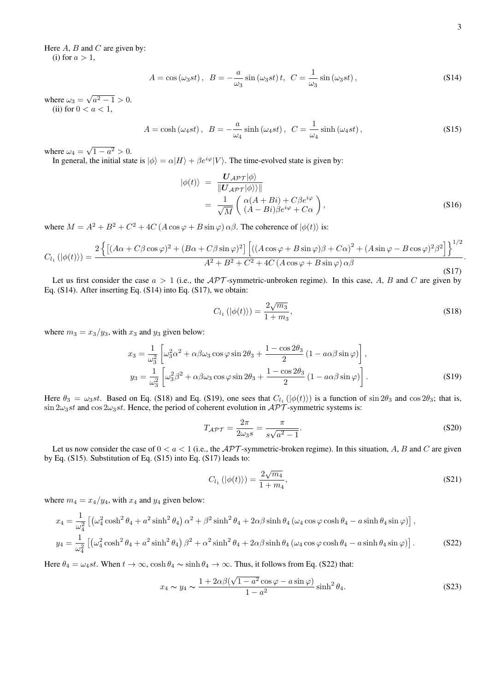Here *A*, *B* and *C* are given by:

(i) for  $a > 1$ ,

$$
A = \cos(\omega_3 st), \quad B = -\frac{a}{\omega_3} \sin(\omega_3 st) t, \quad C = \frac{1}{\omega_3} \sin(\omega_3 st), \tag{S14}
$$

where  $\omega_3 = \sqrt{a^2 - 1} > 0$ . (ii) for  $0 < a < 1$ ,

$$
A = \cosh(\omega_4 st), \quad B = -\frac{a}{\omega_4} \sinh(\omega_4 st), \quad C = \frac{1}{\omega_4} \sinh(\omega_4 st), \tag{S15}
$$

where  $\omega_4 = \sqrt{1 - a^2} > 0$ .

In general, the initial state is  $|\phi\rangle = \alpha|H\rangle + \beta e^{i\varphi}|V\rangle$ . The time-evolved state is given by:

$$
\begin{aligned} |\phi(t)\rangle &= \frac{U_{\mathcal{A}\mathcal{P}\mathcal{T}}|\phi\rangle}{\|U_{\mathcal{A}\mathcal{P}\mathcal{T}}|\phi\rangle\rangle\|} \\ &= \frac{1}{\sqrt{M}} \begin{pmatrix} \alpha(A+Bi) + C\beta e^{i\varphi} \\ (A-Bi)\beta e^{i\varphi} + C\alpha \end{pmatrix}, \end{aligned} \tag{S16}
$$

where  $M = A^2 + B^2 + C^2 + 4C(A \cos \varphi + B \sin \varphi) \alpha \beta$ . The coherence of  $|\phi(t)\rangle$  is:

$$
C_{l_1}(\left|\phi(t)\right\rangle) = \frac{2\left\{\left[\left(A\alpha + C\beta\cos\varphi\right)^2 + \left(B\alpha + C\beta\sin\varphi\right)^2\right]\left[\left(\left(A\cos\varphi + B\sin\varphi\right)\beta + C\alpha\right)^2 + \left(A\sin\varphi - B\cos\varphi\right)^2\beta^2\right]\right\}^{1/2}}{A^2 + B^2 + C^2 + 4C\left(A\cos\varphi + B\sin\varphi\right)\alpha\beta}.
$$
\n
$$
(S17)
$$

Let us first consider the case  $a > 1$  (i.e., the *APT*-symmetric-unbroken regime). In this case, *A*, *B* and *C* are given by Eq. (S14). After inserting Eq. (S14) into Eq. (S17), we obtain:

$$
C_{l_1}(|\phi(t)\rangle) = \frac{2\sqrt{m_3}}{1+m_3},\tag{S18}
$$

where  $m_3 = x_3/y_3$ , with  $x_3$  and  $y_3$  given below:

$$
x_3 = \frac{1}{\omega_3^2} \left[ \omega_3^2 \alpha^2 + \alpha \beta \omega_3 \cos \varphi \sin 2\theta_3 + \frac{1 - \cos 2\theta_3}{2} (1 - a\alpha\beta \sin \varphi) \right],
$$
  
\n
$$
y_3 = \frac{1}{\omega_3^2} \left[ \omega_3^2 \beta^2 + \alpha \beta \omega_3 \cos \varphi \sin 2\theta_3 + \frac{1 - \cos 2\theta_3}{2} (1 - a\alpha\beta \sin \varphi) \right].
$$
 (S19)

Here  $\theta_3 = \omega_3 st$ . Based on Eq. (S18) and Eq. (S19), one sees that  $C_{l_1}(|\phi(t)\rangle)$  is a function of sin  $2\theta_3$  and  $\cos 2\theta_3$ ; that is,  $\sin 2\omega_3 st$  and  $\cos 2\omega_3 st$ . Hence, the period of coherent evolution in *APT*-symmetric systems is:

$$
T_{\mathcal{APT}} = \frac{2\pi}{2\omega_3 s} = \frac{\pi}{s\sqrt{a^2 - 1}}.
$$
\n
$$
(S20)
$$

Let us now consider the case of  $0 < a < 1$  (i.e., the *APT*-symmetric-broken regime). In this situation, *A*, *B* and *C* are given by Eq. (S15). Substitution of Eq. (S15) into Eq. (S17) leads to:

$$
C_{l_1}(|\phi(t)\rangle) = \frac{2\sqrt{m_4}}{1+m_4},\tag{S21}
$$

where  $m_4 = x_4/y_4$ , with  $x_4$  and  $y_4$  given below:

$$
x_4 = \frac{1}{\omega_4^2} \left[ \left( \omega_4^2 \cosh^2 \theta_4 + a^2 \sinh^2 \theta_4 \right) \alpha^2 + \beta^2 \sinh^2 \theta_4 + 2 \alpha \beta \sinh \theta_4 \left( \omega_4 \cos \varphi \cosh \theta_4 - a \sinh \theta_4 \sin \varphi \right) \right],
$$
  

$$
y_4 = \frac{1}{\omega_4^2} \left[ \left( \omega_4^2 \cosh^2 \theta_4 + a^2 \sinh^2 \theta_4 \right) \beta^2 + \alpha^2 \sinh^2 \theta_4 + 2 \alpha \beta \sinh \theta_4 \left( \omega_4 \cos \varphi \cosh \theta_4 - a \sinh \theta_4 \sin \varphi \right) \right].
$$
 (S22)

Here  $\theta_4 = \omega_4 st$ . When  $t \to \infty$ ,  $\cosh \theta_4 \sim \sinh \theta_4 \to \infty$ . Thus, it follows from Eq. (S22) that:

$$
x_4 \sim y_4 \sim \frac{1 + 2\alpha\beta(\sqrt{1 - a^2}\cos\varphi - a\sin\varphi)}{1 - a^2}\sinh^2\theta_4.
$$
 (S23)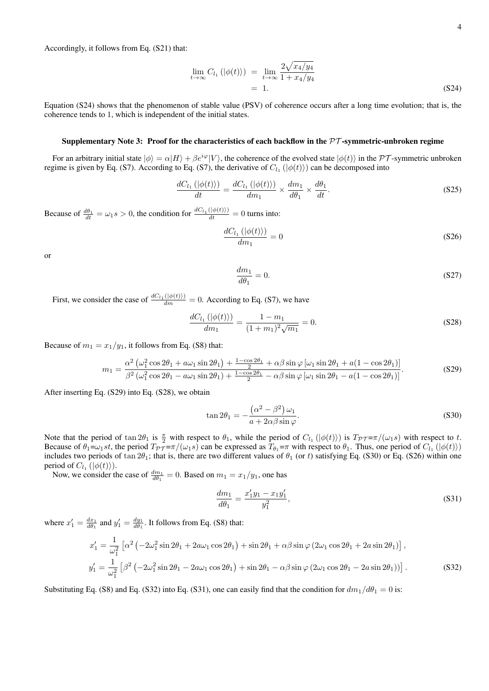Accordingly, it follows from Eq. (S21) that:

$$
\lim_{t \to \infty} C_{l_1} (|\phi(t) \rangle) = \lim_{t \to \infty} \frac{2\sqrt{x_4/y_4}}{1 + x_4/y_4} = 1.
$$
\n(S24)

Equation (S24) shows that the phenomenon of stable value (PSV) of coherence occurs after a long time evolution; that is, the coherence tends to 1, which is independent of the initial states.

#### Supplementary Note 3: Proof for the characteristics of each backflow in the *PT* -symmetric-unbroken regime

For an arbitrary initial state  $|\phi\rangle = \alpha|H\rangle + \beta e^{i\varphi}|V\rangle$ , the coherence of the evolved state  $|\phi(t)\rangle$  in the PT-symmetric unbroken regime is given by Eq. (S7). According to Eq. (S7), the derivative of  $C_{l_1} (\ket{\phi(t)})$  can be decomposed into

$$
\frac{dC_{l_1}(\ket{\phi(t)})}{dt} = \frac{dC_{l_1}(\ket{\phi(t)})}{dm_1} \times \frac{dm_1}{d\theta_1} \times \frac{d\theta_1}{dt}.
$$
\n
$$
(S25)
$$

Because of  $\frac{d\theta_1}{dt} = \omega_1 s > 0$ , the condition for  $\frac{dC_l_1(|\phi(t)\rangle)}{dt} = 0$  turns into:

$$
\frac{dC_{l_1}(|\phi(t)\rangle)}{dm_1} = 0
$$
\n(S26)

or

$$
\frac{dm_1}{d\theta_1} = 0.\tag{S27}
$$

First, we consider the case of  $\frac{dC_{l_1}(|\phi(t)\rangle)}{dm} = 0$ . According to Eq. (S7), we have

$$
\frac{dC_{l_1}(|\phi(t)\rangle)}{dm_1} = \frac{1 - m_1}{(1 + m_1)^2 \sqrt{m_1}} = 0.
$$
\n(S28)

Because of  $m_1 = x_1/y_1$ , it follows from Eq. (S8) that:

$$
m_1 = \frac{\alpha^2 \left(\omega_1^2 \cos 2\theta_1 + a\omega_1 \sin 2\theta_1\right) + \frac{1 - \cos 2\theta_1}{2} + \alpha\beta \sin \varphi \left[\omega_1 \sin 2\theta_1 + a(1 - \cos 2\theta_1)\right]}{\beta^2 \left(\omega_1^2 \cos 2\theta_1 - a\omega_1 \sin 2\theta_1\right) + \frac{1 - \cos 2\theta_1}{2} - \alpha\beta \sin \varphi \left[\omega_1 \sin 2\theta_1 - a(1 - \cos 2\theta_1)\right]}.
$$
\n(S29)

After inserting Eq. (S29) into Eq. (S28), we obtain

$$
\tan 2\theta_1 = -\frac{\left(\alpha^2 - \beta^2\right)\omega_1}{a + 2\alpha\beta\sin\varphi}.
$$
\n
$$
(S30)
$$

Note that the period of  $\tan 2\theta_1$  is  $\frac{\pi}{2}$  with respect to  $\theta_1$ , while the period of  $C_{l_1}(\ket{\phi(t)})$  is  $T_{\mathcal{PT}} = \pi/(\omega_1 s)$  with respect to t. Because of  $\theta_1 = \omega_1 st$ , the period  $T_{\mathcal{PT}} = \pi/(\omega_1 s)$  can be expressed as  $T_{\theta_1} = \pi$  with respect to  $\theta_1$ . Thus, one period of  $C_{l_1}(|\phi(t)|)$ includes two periods of tan  $2\theta_1$ ; that is, there are two different values of  $\theta_1$  (or *t*) satisfying Eq. (S30) or Eq. (S26) within one period of  $C_{l_1}$  ( $|\phi(t)\rangle$ ).

Now, we consider the case of  $\frac{dm_1}{d\theta_1} = 0$ . Based on  $m_1 = x_1/y_1$ , one has

$$
\frac{dm_1}{d\theta_1} = \frac{x_1'y_1 - x_1y_1'}{y_1^2},\tag{S31}
$$

where  $x'_1 = \frac{dx_1}{d\theta_1}$  and  $y'_1 = \frac{dy_1}{d\theta_1}$ . It follows from Eq. (S8) that:

$$
x_1' = \frac{1}{\omega_1^2} \left[ \alpha^2 \left( -2\omega_1^2 \sin 2\theta_1 + 2a\omega_1 \cos 2\theta_1 \right) + \sin 2\theta_1 + \alpha\beta \sin \varphi \left( 2\omega_1 \cos 2\theta_1 + 2a \sin 2\theta_1 \right) \right],
$$
  
\n
$$
y_1' = \frac{1}{\omega_1^2} \left[ \beta^2 \left( -2\omega_1^2 \sin 2\theta_1 - 2a\omega_1 \cos 2\theta_1 \right) + \sin 2\theta_1 - \alpha\beta \sin \varphi \left( 2\omega_1 \cos 2\theta_1 - 2a \sin 2\theta_1 \right) \right].
$$
 (S32)

Substituting Eq. (S8) and Eq. (S32) into Eq. (S31), one can easily find that the condition for  $dm_1/d\theta_1 = 0$  is: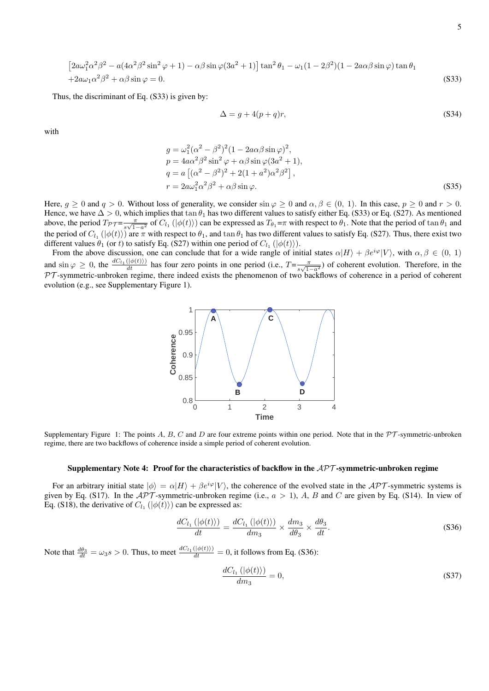$$
[2a\omega_1^2\alpha^2\beta^2 - a(4\alpha^2\beta^2\sin^2\varphi + 1) - \alpha\beta\sin\varphi(3a^2 + 1)]\tan^2\theta_1 - \omega_1(1 - 2\beta^2)(1 - 2a\alpha\beta\sin\varphi)\tan\theta_1
$$
  
+2a\omega\_1\alpha^2\beta^2 + \alpha\beta\sin\varphi = 0. (S33)

Thus, the discriminant of Eq. (S33) is given by:

$$
\Delta = g + 4(p + q)r,\tag{S34}
$$

with

$$
g = \omega_1^2 (\alpha^2 - \beta^2)^2 (1 - 2a\alpha\beta\sin\varphi)^2,
$$
  
\n
$$
p = 4a\alpha^2 \beta^2 \sin^2 \varphi + \alpha\beta \sin\varphi (3a^2 + 1),
$$
  
\n
$$
q = a \left[ (\alpha^2 - \beta^2)^2 + 2(1 + a^2)\alpha^2 \beta^2 \right],
$$
  
\n
$$
r = 2a\omega_1^2 \alpha^2 \beta^2 + \alpha\beta \sin\varphi.
$$
\n(S35)

Here,  $g \ge 0$  and  $q > 0$ . Without loss of generality, we consider  $\sin \varphi \ge 0$  and  $\alpha, \beta \in (0, 1)$ . In this case,  $p \ge 0$  and  $r > 0$ . Hence, we have Δ > 0, which implies that tan  $θ_1$  has two different values to satisfy either Eq. (S33) or Eq. (S27). As mentioned above, the period  $T_{\mathcal{PT}} = \frac{\pi}{s\sqrt{1-\pi}}$  $\frac{\pi}{\sqrt{1-a^2}}$  of  $C_l$ <sub>1</sub> ( $|\phi(t)\rangle$ ) can be expressed as  $T_{\theta_1} = \pi$  with respect to  $\theta_1$ . Note that the period of tan  $\theta_1$  and the period of  $C_{l_1}(\phi(t))$  are  $\pi$  with respect to  $\theta_1$ , and  $\tan \theta_1$  has two different values to satisfy Eq. (S27). Thus, there exist two different values  $\theta_1$  (or *t*) to satisfy Eq. (S27) within one period of  $C_{l_1}$  ( $|\phi(t)\rangle$ ).

From the above discussion, one can conclude that for a wide rangle of initial states  $\alpha|H\rangle + \beta e^{i\varphi}|V\rangle$ , with  $\alpha, \beta \in (0, 1)$ and  $\sin \varphi \geq 0$ , the  $\frac{dC_{l_1}(\ket{\phi(t)})}{dt}$  has four zero points in one period (i.e.,  $T = \frac{\pi}{s\sqrt{1}}$  $\frac{\pi}{s\sqrt{1-a^2}}$  of coherent evolution. Therefore, in the  $PT$ -symmetric-unbroken regime, there indeed exists the phenomenon of two backflows of coherence in a period of coherent evolution (e.g., see Supplementary Figure 1).



Supplementary Figure 1: The points *A*, *B*, *C* and *D* are four extreme points within one period. Note that in the *PT* -symmetric-unbroken regime, there are two backflows of coherence inside a simple period of coherent evolution.

# Supplementary Note 4: Proof for the characteristics of backflow in the *APT* -symmetric-unbroken regime

For an arbitrary initial state  $|\phi\rangle = \alpha|H\rangle + \beta e^{i\varphi}|V\rangle$ , the coherence of the evolved state in the *APT*-symmetric systems is given by Eq. (S17). In the  $\mathcal{APT}$ -symmetric-unbroken regime (i.e.,  $a > 1$ ), A, B and C are given by Eq. (S14). In view of Eq. (S18), the derivative of  $C_{l_1}$  ( $|\phi(t)\rangle$ ) can be expressed as:

$$
\frac{dC_{l_1}(\ket{\phi(t)})}{dt} = \frac{dC_{l_1}(\ket{\phi(t)})}{dm_3} \times \frac{dm_3}{d\theta_3} \times \frac{d\theta_3}{dt}.
$$
\n(S36)

Note that  $\frac{d\theta_3}{dt} = \omega_3 s > 0$ . Thus, to meet  $\frac{dC_{l_1}(\ket{\phi(t))}}{dt} = 0$ , it follows from Eq. (S36):

$$
\frac{dC_{l_1}(|\phi(t)\rangle)}{dm_3} = 0,
$$
\n(S37)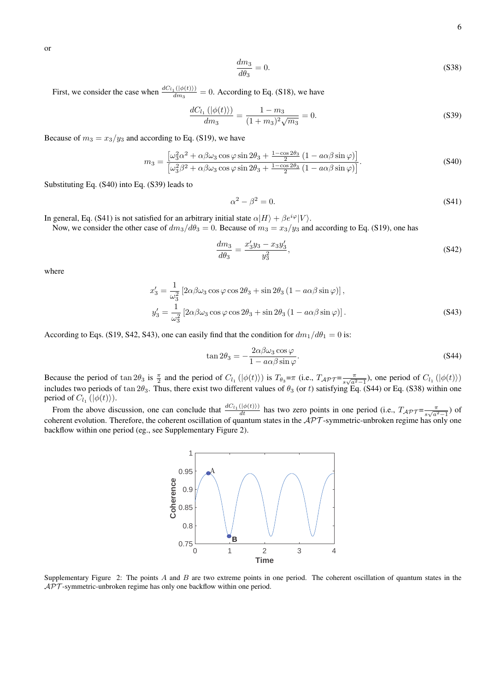$$
\frac{dm_3}{d\theta_3} = 0.\t\t( S38)
$$

First, we consider the case when  $\frac{dC_{l_1}(|\phi(t)\rangle)}{dm_3} = 0$ . According to Eq. (S18), we have

$$
\frac{dC_{l_1}(|\phi(t)\rangle)}{dm_3} = \frac{1 - m_3}{(1 + m_3)^2 \sqrt{m_3}} = 0.
$$
\n(S39)

Because of  $m_3 = x_3/y_3$  and according to Eq. (S19), we have

$$
m_3 = \frac{\left[\omega_3^2 \alpha^2 + \alpha \beta \omega_3 \cos \varphi \sin 2\theta_3 + \frac{1 - \cos 2\theta_3}{2} \left(1 - a\alpha\beta \sin \varphi\right)\right]}{\left[\omega_3^2 \beta^2 + \alpha \beta \omega_3 \cos \varphi \sin 2\theta_3 + \frac{1 - \cos 2\theta_3}{2} \left(1 - a\alpha\beta \sin \varphi\right)\right]}.
$$
(S40)

Substituting Eq. (S40) into Eq. (S39) leads to

$$
\alpha^2 - \beta^2 = 0. \tag{S41}
$$

In general, Eq. (S41) is not satisfied for an arbitrary initial state  $\alpha|H\rangle + \beta e^{i\varphi}|V\rangle$ .

Now, we consider the other case of  $dm_3/d\theta_3 = 0$ . Because of  $m_3 = x_3/y_3$  and according to Eq. (S19), one has

$$
\frac{dm_3}{d\theta_3} = \frac{x_3' y_3 - x_3 y_3'}{y_3^2},\tag{S42}
$$

where

$$
x'_3 = \frac{1}{\omega_3^2} \left[ 2\alpha \beta \omega_3 \cos \varphi \cos 2\theta_3 + \sin 2\theta_3 \left( 1 - a\alpha \beta \sin \varphi \right) \right],
$$
  
\n
$$
y'_3 = \frac{1}{\omega_3^2} \left[ 2\alpha \beta \omega_3 \cos \varphi \cos 2\theta_3 + \sin 2\theta_3 \left( 1 - a\alpha \beta \sin \varphi \right) \right].
$$
\n(S43)

According to Eqs. (S19, S42, S43), one can easily find that the condition for  $dm_1/d\theta_1 = 0$  is:

$$
\tan 2\theta_3 = -\frac{2\alpha\beta\omega_3\cos\varphi}{1 - a\alpha\beta\sin\varphi}.
$$
\n(S44)

Because the period of  $\tan 2\theta_3$  is  $\frac{\pi}{2}$  and the period of  $C_{l_1} (\phi(t))$  is  $T_{\theta_3} = \pi$  (i.e.,  $T_{\mathcal{APT}} = \frac{\pi}{s\sqrt{a^2}}$  $\frac{\pi}{s\sqrt{a^2-1}}$ ), one period of  $C_{l_1} (\ket{\phi(t)})$ includes two periods of tan 2θ<sub>3</sub>. Thus, there exist two different values of  $θ_3$  (or *t*) satisfying Eq. (S44) or Eq. (S38) within one period of  $C_{l_1}$  ( $|\phi(t)\rangle$ ).

From the above discussion, one can conclude that  $\frac{dC_{l_1}(\phi(t))}{dt}$  has two zero points in one period (i.e.,  $T_{\mathcal{APT}} = \frac{\pi}{s\sqrt{a^2}}$  $\frac{\pi}{s\sqrt{a^2-1}}$ ) of coherent evolution. Therefore, the coherent oscillation of quantum states in the *APT* -symmetric-unbroken regime has only one backflow within one period (eg., see Supplementary Figure 2).



Supplementary Figure 2: The points *A* and *B* are two extreme points in one period. The coherent oscillation of quantum states in the *APT* -symmetric-unbroken regime has only one backflow within one period.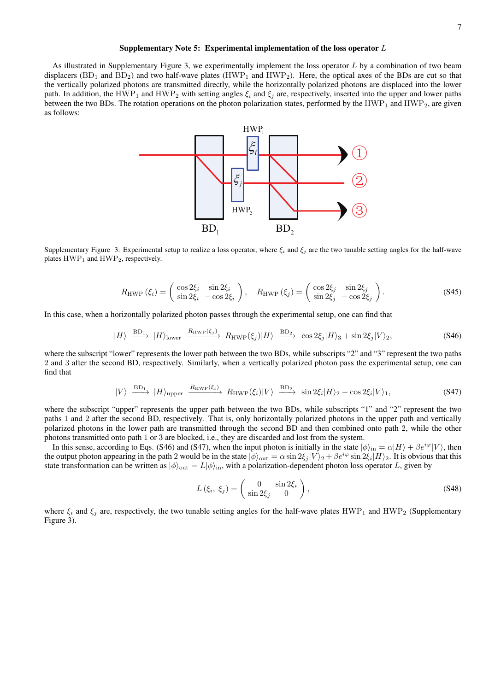### Supplementary Note 5: Experimental implementation of the loss operator *L*

As illustrated in Supplementary Figure 3, we experimentally implement the loss operator *L* by a combination of two beam displacers  $(BD_1$  and  $BD_2)$  and two half-wave plates  $(HWP_1$  and  $HWP_2)$ . Here, the optical axes of the BDs are cut so that the vertically polarized photons are transmitted directly, while the horizontally polarized photons are displaced into the lower path. In addition, the HWP<sub>1</sub> and HWP<sub>2</sub> with setting angles  $\xi_i$  and  $\xi_j$  are, respectively, inserted into the upper and lower paths between the two BDs. The rotation operations on the photon polarization states, performed by the  $HWP_1$  and  $HWP_2$ , are given as follows:



Supplementary Figure 3: Experimental setup to realize a loss operator, where  $\xi_i$  and  $\xi_j$  are the two tunable setting angles for the half-wave plates  $HWP_1$  and  $HWP_2$ , respectively.

$$
R_{\rm HWP}(\xi_i) = \begin{pmatrix} \cos 2\xi_i & \sin 2\xi_i \\ \sin 2\xi_i & -\cos 2\xi_i \end{pmatrix}, \quad R_{\rm HWP}(\xi_j) = \begin{pmatrix} \cos 2\xi_j & \sin 2\xi_j \\ \sin 2\xi_j & -\cos 2\xi_j \end{pmatrix}.
$$
 (S45)

In this case, when a horizontally polarized photon passes through the experimental setup, one can find that

$$
|H\rangle \xrightarrow{\text{BD}_1} |H\rangle_{\text{lower}} \xrightarrow{R_{\text{HWP}}(\xi_j)} R_{\text{HWP}}(\xi_j)|H\rangle \xrightarrow{\text{BD}_2} \cos 2\xi_j|H\rangle_3 + \sin 2\xi_j|V\rangle_2, \tag{S46}
$$

where the subscript "lower" represents the lower path between the two BDs, while subscripts "2" and "3" represent the two paths 2 and 3 after the second BD, respectively. Similarly, when a vertically polarized photon pass the experimental setup, one can find that

$$
|V\rangle \xrightarrow{\text{BD}_1} |H\rangle_{\text{upper}} \xrightarrow{R_{\text{HWP}}(\xi_i)} R_{\text{HWP}}(\xi_i) |V\rangle \xrightarrow{\text{BD}_2} \sin 2\xi_i |H\rangle_2 - \cos 2\xi_i |V\rangle_1, \tag{S47}
$$

where the subscript "upper" represents the upper path between the two BDs, while subscripts "1" and "2" represent the two paths 1 and 2 after the second BD, respectively. That is, only horizontally polarized photons in the upper path and vertically polarized photons in the lower path are transmitted through the second BD and then combined onto path 2, while the other photons transmitted onto path 1 or 3 are blocked, i.e., they are discarded and lost from the system.

In this sense, according to Eqs. (S46) and (S47), when the input photon is initially in the state  $|\phi\rangle_{\text{in}} = \alpha|H\rangle + \beta e^{i\varphi}|V\rangle$ , then the output photon appearing in the path 2 would be in the state  $|\phi\rangle_{\text{out}} = \alpha \sin 2\xi_j |V\rangle_2 + \beta e^{i\varphi} \sin 2\xi_i |H\rangle_2$ . It is obvious that this state transformation can be written as  $|\phi\rangle_{\text{out}} = L|\phi\rangle_{\text{in}}$ , with a polarization-dependent photon loss operator *L*, given by

$$
L(\xi_i, \xi_j) = \begin{pmatrix} 0 & \sin 2\xi_i \\ \sin 2\xi_j & 0 \end{pmatrix},
$$
 (S48)

where  $\xi_i$  and  $\xi_j$  are, respectively, the two tunable setting angles for the half-wave plates HWP<sub>1</sub> and HWP<sub>2</sub> (Supplementary Figure 3).